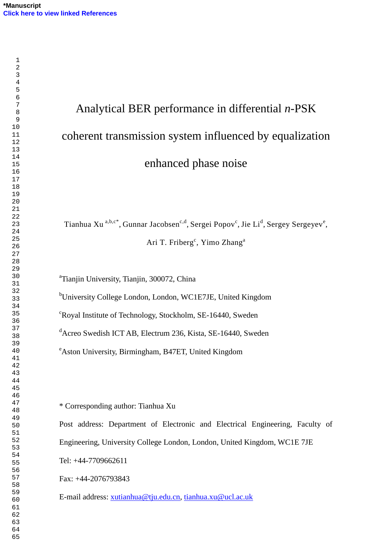# Analytical BER performance in differential *n*-PSK coherent transmission system influenced by equalization enhanced phase noise

Tianhua Xu <sup>a,b,c\*</sup>, Gunnar Jacobsen<sup>c,d</sup>, Sergei Popov<sup>c</sup>, Jie Li<sup>d</sup>, Sergey Sergeyev<sup>e</sup>, Ari T. Friberg<sup>c</sup>, Yimo Zhang<sup>a</sup>

<sup>a</sup>Tianjin University, Tianjin, 300072, China

<sup>b</sup>University College London, London, WC1E7JE, United Kingdom

<sup>c</sup>Royal Institute of Technology, Stockholm, SE-16440, Sweden

<sup>d</sup>Acreo Swedish ICT AB, Electrum 236, Kista, SE-16440, Sweden

<sup>e</sup>Aston University, Birmingham, B47ET, United Kingdom

\* Corresponding author: Tianhua Xu

Post address: Department of Electronic and Electrical Engineering, Faculty of Engineering, University College London, London, United Kingdom, WC1E 7JE Tel: +44-7709662611

Fax: +44-2076793843

E-mail address: [xutianhua@tju.edu.cn,](mailto:xutianhua@tju.edu.cn) [tianhua.xu@ucl.ac.uk](mailto:tianhua.xu@ucl.ac.uk)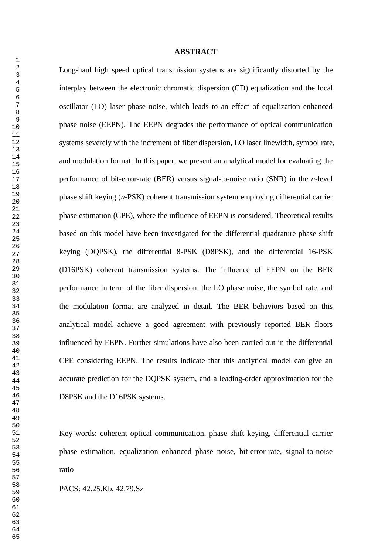#### **ABSTRACT**

Long-haul high speed optical transmission systems are significantly distorted by the interplay between the electronic chromatic dispersion (CD) equalization and the local oscillator (LO) laser phase noise, which leads to an effect of equalization enhanced phase noise (EEPN). The EEPN degrades the performance of optical communication systems severely with the increment of fiber dispersion, LO laser linewidth, symbol rate, and modulation format. In this paper, we present an analytical model for evaluating the performance of bit-error-rate (BER) versus signal-to-noise ratio (SNR) in the *n*-level phase shift keying (*n*-PSK) coherent transmission system employing differential carrier phase estimation (CPE), where the influence of EEPN is considered. Theoretical results based on this model have been investigated for the differential quadrature phase shift keying (DQPSK), the differential 8-PSK (D8PSK), and the differential 16-PSK (D16PSK) coherent transmission systems. The influence of EEPN on the BER performance in term of the fiber dispersion, the LO phase noise, the symbol rate, and the modulation format are analyzed in detail. The BER behaviors based on this analytical model achieve a good agreement with previously reported BER floors influenced by EEPN. Further simulations have also been carried out in the differential CPE considering EEPN. The results indicate that this analytical model can give an accurate prediction for the DQPSK system, and a leading-order approximation for the D8PSK and the D16PSK systems.

Key words: coherent optical communication, phase shift keying, differential carrier phase estimation, equalization enhanced phase noise, bit-error-rate, signal-to-noise ratio

PACS: 42.25.Kb, 42.79.Sz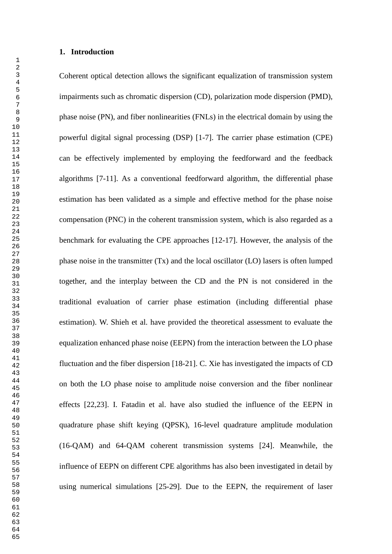#### **1. Introduction**

Coherent optical detection allows the significant equalization of transmission system impairments such as chromatic dispersion (CD), polarization mode dispersion (PMD), phase noise (PN), and fiber nonlinearities (FNLs) in the electrical domain by using the powerful digital signal processing (DSP) [1-7]. The carrier phase estimation (CPE) can be effectively implemented by employing the feedforward and the feedback algorithms [7-11]. As a conventional feedforward algorithm, the differential phase estimation has been validated as a simple and effective method for the phase noise compensation (PNC) in the coherent transmission system, which is also regarded as a benchmark for evaluating the CPE approaches [12-17]. However, the analysis of the phase noise in the transmitter (Tx) and the local oscillator (LO) lasers is often lumped together, and the interplay between the CD and the PN is not considered in the traditional evaluation of carrier phase estimation (including differential phase estimation). W. Shieh et al. have provided the theoretical assessment to evaluate the equalization enhanced phase noise (EEPN) from the interaction between the LO phase fluctuation and the fiber dispersion [18-21]. C. Xie has investigated the impacts of CD on both the LO phase noise to amplitude noise conversion and the fiber nonlinear effects [22,23]. I. Fatadin et al. have also studied the influence of the EEPN in quadrature phase shift keying (QPSK), 16-level quadrature amplitude modulation (16-QAM) and 64-QAM coherent transmission systems [24]. Meanwhile, the influence of EEPN on different CPE algorithms has also been investigated in detail by using numerical simulations [25-29]. Due to the EEPN, the requirement of laser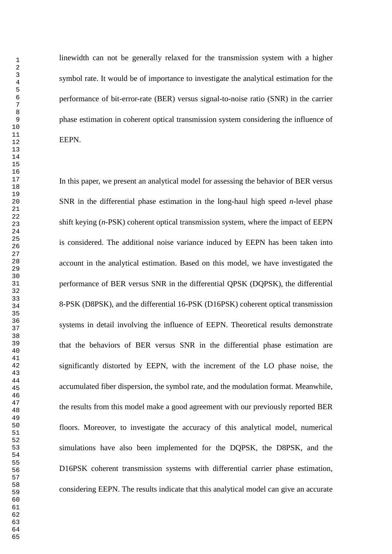linewidth can not be generally relaxed for the transmission system with a higher symbol rate. It would be of importance to investigate the analytical estimation for the performance of bit-error-rate (BER) versus signal-to-noise ratio (SNR) in the carrier phase estimation in coherent optical transmission system considering the influence of EEPN.

In this paper, we present an analytical model for assessing the behavior of BER versus SNR in the differential phase estimation in the long-haul high speed *n*-level phase shift keying (*n*-PSK) coherent optical transmission system, where the impact of EEPN is considered. The additional noise variance induced by EEPN has been taken into account in the analytical estimation. Based on this model, we have investigated the performance of BER versus SNR in the differential QPSK (DQPSK), the differential 8-PSK (D8PSK), and the differential 16-PSK (D16PSK) coherent optical transmission systems in detail involving the influence of EEPN. Theoretical results demonstrate that the behaviors of BER versus SNR in the differential phase estimation are significantly distorted by EEPN, with the increment of the LO phase noise, the accumulated fiber dispersion, the symbol rate, and the modulation format. Meanwhile, the results from this model make a good agreement with our previously reported BER floors. Moreover, to investigate the accuracy of this analytical model, numerical simulations have also been implemented for the DQPSK, the D8PSK, and the D16PSK coherent transmission systems with differential carrier phase estimation, considering EEPN. The results indicate that this analytical model can give an accurate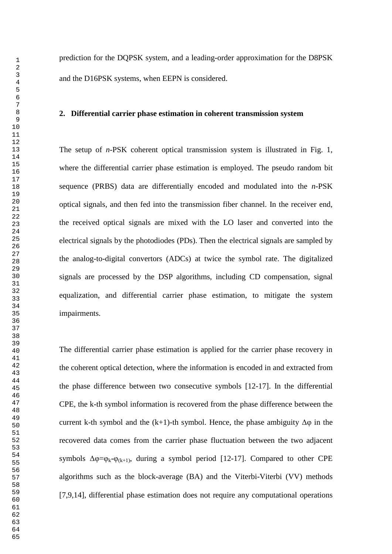prediction for the DQPSK system, and a leading-order approximation for the D8PSK and the D16PSK systems, when EEPN is considered.

## **2. Differential carrier phase estimation in coherent transmission system**

The setup of *n*-PSK coherent optical transmission system is illustrated in Fig. 1, where the differential carrier phase estimation is employed. The pseudo random bit sequence (PRBS) data are differentially encoded and modulated into the *n*-PSK optical signals, and then fed into the transmission fiber channel. In the receiver end, the received optical signals are mixed with the LO laser and converted into the electrical signals by the photodiodes (PDs). Then the electrical signals are sampled by the analog-to-digital convertors (ADCs) at twice the symbol rate. The digitalized signals are processed by the DSP algorithms, including CD compensation, signal equalization, and differential carrier phase estimation, to mitigate the system impairments.

The differential carrier phase estimation is applied for the carrier phase recovery in the coherent optical detection, where the information is encoded in and extracted from the phase difference between two consecutive symbols [12-17]. In the differential CPE, the k-th symbol information is recovered from the phase difference between the current k-th symbol and the  $(k+1)$ -th symbol. Hence, the phase ambiguity  $\Delta \varphi$  in the recovered data comes from the carrier phase fluctuation between the two adjacent symbols  $\Delta \varphi = \varphi_k - \varphi_{(k+1)}$ , during a symbol period [12-17]. Compared to other CPE algorithms such as the block-average (BA) and the Viterbi-Viterbi (VV) methods [7,9,14], differential phase estimation does not require any computational operations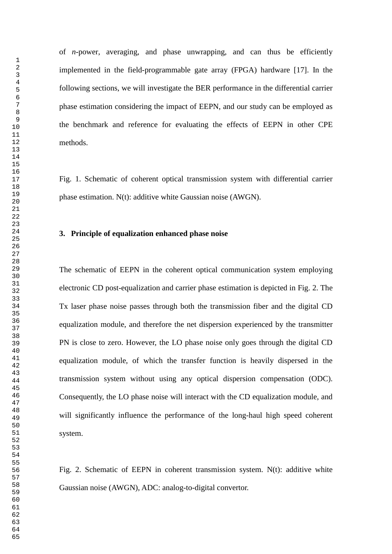of *n*-power, averaging, and phase unwrapping, and can thus be efficiently implemented in the field-programmable gate array (FPGA) hardware [17]. In the following sections, we will investigate the BER performance in the differential carrier phase estimation considering the impact of EEPN, and our study can be employed as the benchmark and reference for evaluating the effects of EEPN in other CPE methods.

Fig. 1. Schematic of coherent optical transmission system with differential carrier phase estimation. N(t): additive white Gaussian noise (AWGN).

## **3. Principle of equalization enhanced phase noise**

The schematic of EEPN in the coherent optical communication system employing electronic CD post-equalization and carrier phase estimation is depicted in Fig. 2. The Tx laser phase noise passes through both the transmission fiber and the digital CD equalization module, and therefore the net dispersion experienced by the transmitter PN is close to zero. However, the LO phase noise only goes through the digital CD equalization module, of which the transfer function is heavily dispersed in the transmission system without using any optical dispersion compensation (ODC). Consequently, the LO phase noise will interact with the CD equalization module, and will significantly influence the performance of the long-haul high speed coherent system.

Fig. 2. Schematic of EEPN in coherent transmission system. N(t): additive white Gaussian noise (AWGN), ADC: analog-to-digital convertor.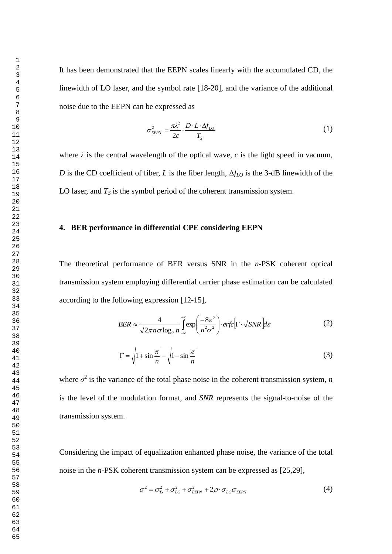It has been demonstrated that the EEPN scales linearly with the accumulated CD, the linewidth of LO laser, and the symbol rate [18-20], and the variance of the additional noise due to the EEPN can be expressed as

$$
\sigma_{EEPN}^2 = \frac{\pi \lambda^2}{2c} \cdot \frac{D \cdot L \cdot \Delta f_{LO}}{T_s} \tag{1}
$$

where  $\lambda$  is the central wavelength of the optical wave,  $c$  is the light speed in vacuum, *D* is the CD coefficient of fiber, *L* is the fiber length, Δ*fLO* is the 3-dB linewidth of the LO laser, and  $T<sub>S</sub>$  is the symbol period of the coherent transmission system.

### **4. BER performance in differential CPE considering EEPN**

The theoretical performance of BER versus SNR in the *n*-PSK coherent optical transmission system employing differential carrier phase estimation can be calculated according to the following expression [12-15],

$$
BER \approx \frac{4}{\sqrt{2\pi}n\sigma \log_2 n} \int_{-\infty}^{+\infty} \exp\left(\frac{-8\varepsilon^2}{n^2 \sigma^2}\right) \cdot \, erfc\left[\Gamma \cdot \sqrt{SNR}\right] d\varepsilon \tag{2}
$$

$$
\Gamma = \sqrt{1 + \sin \frac{\pi}{n}} - \sqrt{1 - \sin \frac{\pi}{n}}
$$
\n(3)

where  $\sigma^2$  is the variance of the total phase noise in the coherent transmission system, *n* is the level of the modulation format, and *SNR* represents the signal-to-noise of the transmission system.

Considering the impact of equalization enhanced phase noise, the variance of the total noise in the *n*-PSK coherent transmission system can be expressed as [25,29],

$$
\sigma^2 = \sigma_{rx}^2 + \sigma_{LO}^2 + \sigma_{EEN}^2 + 2\rho \cdot \sigma_{LO} \sigma_{EEN}
$$
\n(4)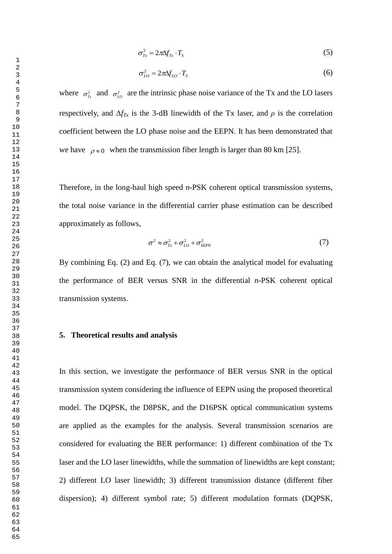$$
\sigma_{Tx}^2 = 2\pi \Delta f_{Tx} \cdot T_s \tag{5}
$$

$$
\sigma_{LO}^2 = 2\pi \Delta f_{LO} \cdot T_s \tag{6}
$$

where  $\sigma_{rx}^2$  and  $\sigma_{L0}^2$  are the intrinsic phase noise variance of the Tx and the LO lasers respectively, and  $\Delta f_{Tx}$  is the 3-dB linewidth of the Tx laser, and  $\rho$  is the correlation coefficient between the LO phase noise and the EEPN. It has been demonstrated that we have  $\rho \approx 0$  when the transmission fiber length is larger than 80 km [25].

Therefore, in the long-haul high speed *n*-PSK coherent optical transmission systems, the total noise variance in the differential carrier phase estimation can be described approximately as follows,

$$
\sigma^2 \approx \sigma_{Tx}^2 + \sigma_{LO}^2 + \sigma_{EEN}^2 \tag{7}
$$

By combining Eq. (2) and Eq. (7), we can obtain the analytical model for evaluating the performance of BER versus SNR in the differential *n*-PSK coherent optical transmission systems.

## **5. Theoretical results and analysis**

6<br>  $\sigma_{1x}^2 = 2\pi\Delta V_{1x} \cdot T_s$ <br>
<sup>2</sup><br>
<sup>4</sup><br>
<sup>4</sup><br>
<sup>5</sup><br>
<sup>6</sup><br>
<sup>5</sup><br> **7**<br> **7**<br> **7**<br> **7**<br> **10**<br> **10**<br> **10**<br> **10**<br> **10**<br> **10**<br> **10**<br> **10**<br> **10**<br> **11**<br> **11**<br> **11**<br> **11**<br> **11**<br> **11**<br> **11**<br> **11**<br> **11**<br> **11**<br> **11**<br> **11**<br> **11**<br> **11**<br> In this section, we investigate the performance of BER versus SNR in the optical transmission system considering the influence of EEPN using the proposed theoretical model. The DQPSK, the D8PSK, and the D16PSK optical communication systems are applied as the examples for the analysis. Several transmission scenarios are considered for evaluating the BER performance: 1) different combination of the Tx laser and the LO laser linewidths, while the summation of linewidths are kept constant; 2) different LO laser linewidth; 3) different transmission distance (different fiber dispersion); 4) different symbol rate; 5) different modulation formats (DQPSK,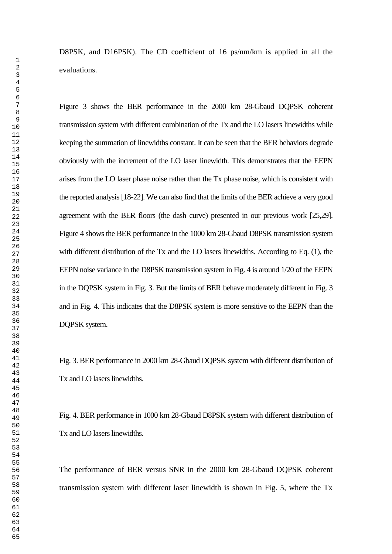D8PSK, and D16PSK). The CD coefficient of 16 ps/nm/km is applied in all the evaluations.

Figure 3 shows the BER performance in the 2000 km 28-Gbaud DQPSK coherent transmission system with different combination of the Tx and the LO lasers linewidths while keeping the summation of linewidths constant. It can be seen that the BER behaviors degrade obviously with the increment of the LO laser linewidth. This demonstrates that the EEPN arises from the LO laser phase noise rather than the Tx phase noise, which is consistent with the reported analysis [18-22]. We can also find that the limits of the BER achieve a very good agreement with the BER floors (the dash curve) presented in our previous work [25,29]. Figure 4 shows the BER performance in the 1000 km 28-Gbaud D8PSK transmission system with different distribution of the Tx and the LO lasers linewidths. According to Eq. (1), the EEPN noise variance in the D8PSK transmission system in Fig. 4 is around 1/20 of the EEPN in the DQPSK system in Fig. 3. But the limits of BER behave moderately different in Fig. 3 and in Fig. 4. This indicates that the D8PSK system is more sensitive to the EEPN than the DQPSK system.

Fig. 3. BER performance in 2000 km 28-Gbaud DQPSK system with different distribution of Tx and LO lasers linewidths.

Fig. 4. BER performance in 1000 km 28-Gbaud D8PSK system with different distribution of Tx and LO lasers linewidths.

The performance of BER versus SNR in the 2000 km 28-Gbaud DQPSK coherent transmission system with different laser linewidth is shown in Fig. 5, where the Tx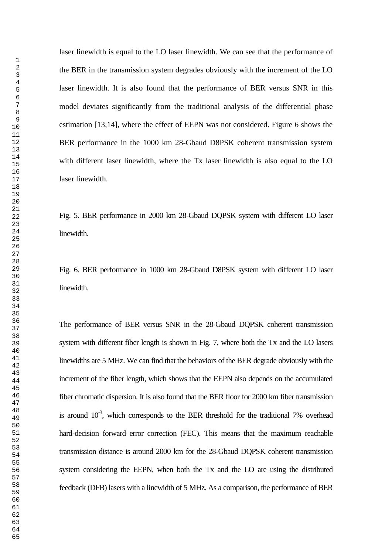laser linewidth is equal to the LO laser linewidth. We can see that the performance of the BER in the transmission system degrades obviously with the increment of the LO laser linewidth. It is also found that the performance of BER versus SNR in this model deviates significantly from the traditional analysis of the differential phase estimation [13,14], where the effect of EEPN was not considered. Figure 6 shows the BER performance in the 1000 km 28-Gbaud D8PSK coherent transmission system with different laser linewidth, where the Tx laser linewidth is also equal to the LO laser linewidth.

Fig. 5. BER performance in 2000 km 28-Gbaud DQPSK system with different LO laser linewidth.

Fig. 6. BER performance in 1000 km 28-Gbaud D8PSK system with different LO laser linewidth.

The performance of BER versus SNR in the 28-Gbaud DQPSK coherent transmission system with different fiber length is shown in Fig. 7, where both the Tx and the LO lasers linewidths are 5 MHz. We can find that the behaviors of the BER degrade obviously with the increment of the fiber length, which shows that the EEPN also depends on the accumulated fiber chromatic dispersion. It is also found that the BER floor for 2000 km fiber transmission is around  $10^{-3}$ , which corresponds to the BER threshold for the traditional 7% overhead hard-decision forward error correction (FEC). This means that the maximum reachable transmission distance is around 2000 km for the 28-Gbaud DQPSK coherent transmission system considering the EEPN, when both the Tx and the LO are using the distributed feedback (DFB) lasers with a linewidth of 5 MHz. As a comparison, the performance of BER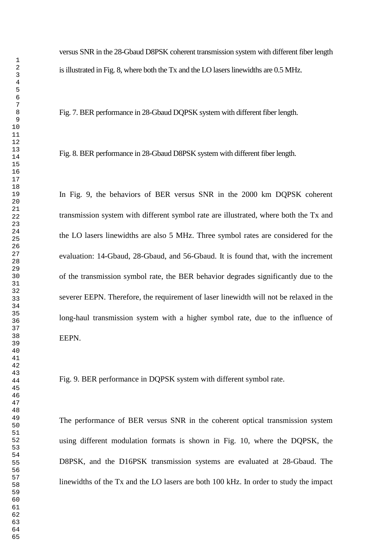versus SNR in the 28-Gbaud D8PSK coherent transmission system with different fiber length is illustrated in Fig. 8, where both the Tx and the LO lasers linewidths are 0.5 MHz.

Fig. 7. BER performance in 28-Gbaud DQPSK system with different fiber length.

Fig. 8. BER performance in 28-Gbaud D8PSK system with different fiber length.

In Fig. 9, the behaviors of BER versus SNR in the 2000 km DQPSK coherent transmission system with different symbol rate are illustrated, where both the Tx and the LO lasers linewidths are also 5 MHz. Three symbol rates are considered for the evaluation: 14-Gbaud, 28-Gbaud, and 56-Gbaud. It is found that, with the increment of the transmission symbol rate, the BER behavior degrades significantly due to the severer EEPN. Therefore, the requirement of laser linewidth will not be relaxed in the long-haul transmission system with a higher symbol rate, due to the influence of EEPN.

Fig. 9. BER performance in DQPSK system with different symbol rate.

The performance of BER versus SNR in the coherent optical transmission system using different modulation formats is shown in Fig. 10, where the DQPSK, the D8PSK, and the D16PSK transmission systems are evaluated at 28-Gbaud. The linewidths of the Tx and the LO lasers are both 100 kHz. In order to study the impact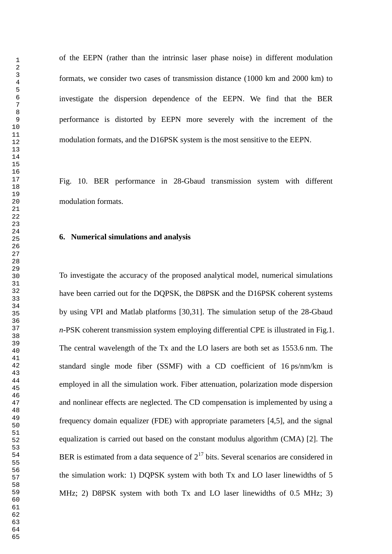of the EEPN (rather than the intrinsic laser phase noise) in different modulation formats, we consider two cases of transmission distance (1000 km and 2000 km) to investigate the dispersion dependence of the EEPN. We find that the BER performance is distorted by EEPN more severely with the increment of the modulation formats, and the D16PSK system is the most sensitive to the EEPN.

Fig. 10. BER performance in 28-Gbaud transmission system with different modulation formats.

#### **6. Numerical simulations and analysis**

To investigate the accuracy of the proposed analytical model, numerical simulations have been carried out for the DQPSK, the D8PSK and the D16PSK coherent systems by using VPI and Matlab platforms [30,31]. The simulation setup of the 28-Gbaud *n*-PSK coherent transmission system employing differential CPE is illustrated in Fig.1. The central wavelength of the Tx and the LO lasers are both set as 1553.6 nm. The standard single mode fiber (SSMF) with a CD coefficient of 16 ps/nm/km is employed in all the simulation work. Fiber attenuation, polarization mode dispersion and nonlinear effects are neglected. The CD compensation is implemented by using a frequency domain equalizer (FDE) with appropriate parameters [4,5], and the signal equalization is carried out based on the constant modulus algorithm (CMA) [2]. The BER is estimated from a data sequence of  $2^{17}$  bits. Several scenarios are considered in the simulation work: 1) DQPSK system with both Tx and LO laser linewidths of 5 MHz; 2) D8PSK system with both Tx and LO laser linewidths of 0.5 MHz; 3)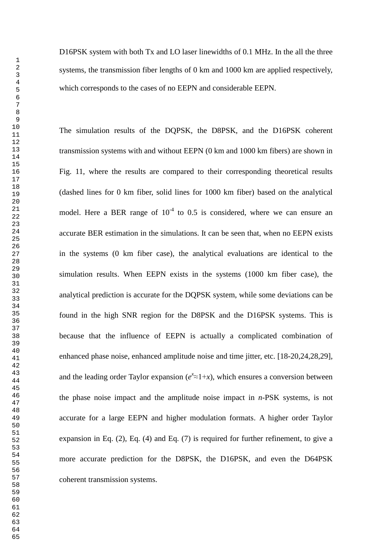D16PSK system with both Tx and LO laser linewidths of 0.1 MHz. In the all the three systems, the transmission fiber lengths of 0 km and 1000 km are applied respectively, which corresponds to the cases of no EEPN and considerable EEPN.

The simulation results of the DQPSK, the D8PSK, and the D16PSK coherent transmission systems with and without EEPN (0 km and 1000 km fibers) are shown in Fig. 11, where the results are compared to their corresponding theoretical results (dashed lines for 0 km fiber, solid lines for 1000 km fiber) based on the analytical model. Here a BER range of  $10^{-4}$  to 0.5 is considered, where we can ensure an accurate BER estimation in the simulations. It can be seen that, when no EEPN exists in the systems (0 km fiber case), the analytical evaluations are identical to the simulation results. When EEPN exists in the systems (1000 km fiber case), the analytical prediction is accurate for the DQPSK system, while some deviations can be found in the high SNR region for the D8PSK and the D16PSK systems. This is because that the influence of EEPN is actually a complicated combination of enhanced phase noise, enhanced amplitude noise and time jitter, etc. [18-20,24,28,29], and the leading order Taylor expansion  $(e^{x}z1+x)$ , which ensures a conversion between the phase noise impact and the amplitude noise impact in *n*-PSK systems, is not accurate for a large EEPN and higher modulation formats. A higher order Taylor expansion in Eq. (2), Eq. (4) and Eq. (7) is required for further refinement, to give a more accurate prediction for the D8PSK, the D16PSK, and even the D64PSK coherent transmission systems.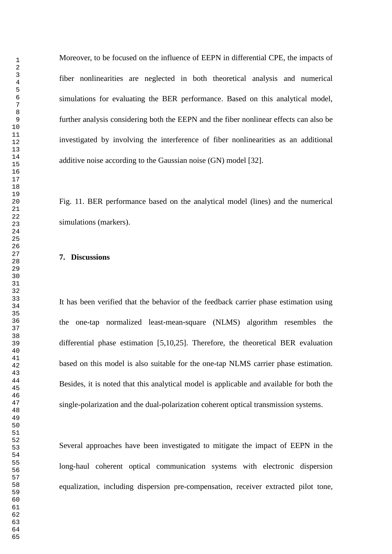Moreover, to be focused on the influence of EEPN in differential CPE, the impacts of fiber nonlinearities are neglected in both theoretical analysis and numerical simulations for evaluating the BER performance. Based on this analytical model, further analysis considering both the EEPN and the fiber nonlinear effects can also be investigated by involving the interference of fiber nonlinearities as an additional additive noise according to the Gaussian noise (GN) model [32].

Fig. 11. BER performance based on the analytical model (lines) and the numerical simulations (markers).

## **7. Discussions**

It has been verified that the behavior of the feedback carrier phase estimation using the one-tap normalized least-mean-square (NLMS) algorithm resembles the differential phase estimation [5,10,25]. Therefore, the theoretical BER evaluation based on this model is also suitable for the one-tap NLMS carrier phase estimation. Besides, it is noted that this analytical model is applicable and available for both the single-polarization and the dual-polarization coherent optical transmission systems.

Several approaches have been investigated to mitigate the impact of EEPN in the long-haul coherent optical communication systems with electronic dispersion equalization, including dispersion pre-compensation, receiver extracted pilot tone,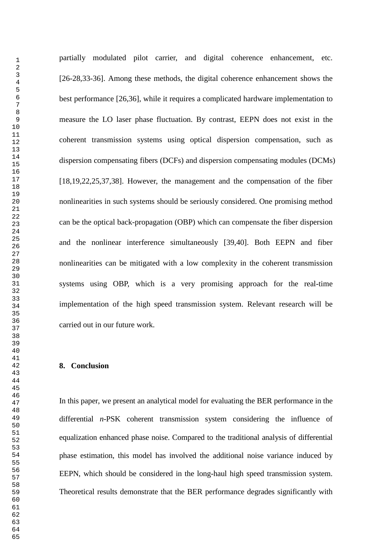partially modulated pilot carrier, and digital coherence enhancement, etc. [26-28,33-36]. Among these methods, the digital coherence enhancement shows the best performance [26,36], while it requires a complicated hardware implementation to measure the LO laser phase fluctuation. By contrast, EEPN does not exist in the coherent transmission systems using optical dispersion compensation, such as dispersion compensating fibers (DCFs) and dispersion compensating modules (DCMs) [18,19,22,25,37,38]. However, the management and the compensation of the fiber nonlinearities in such systems should be seriously considered. One promising method can be the optical back-propagation (OBP) which can compensate the fiber dispersion and the nonlinear interference simultaneously [39,40]. Both EEPN and fiber nonlinearities can be mitigated with a low complexity in the coherent transmission systems using OBP, which is a very promising approach for the real-time implementation of the high speed transmission system. Relevant research will be carried out in our future work.

### **8. Conclusion**

In this paper, we present an analytical model for evaluating the BER performance in the differential *n*-PSK coherent transmission system considering the influence of equalization enhanced phase noise. Compared to the traditional analysis of differential phase estimation, this model has involved the additional noise variance induced by EEPN, which should be considered in the long-haul high speed transmission system. Theoretical results demonstrate that the BER performance degrades significantly with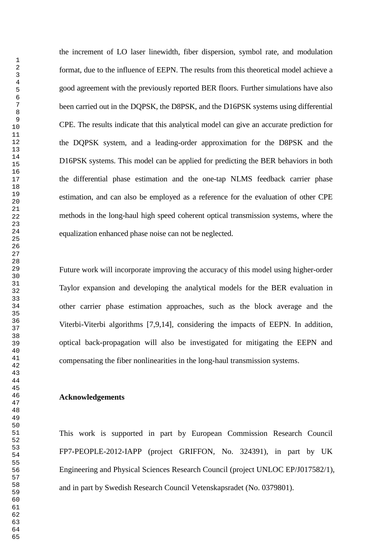the increment of LO laser linewidth, fiber dispersion, symbol rate, and modulation format, due to the influence of EEPN. The results from this theoretical model achieve a good agreement with the previously reported BER floors. Further simulations have also been carried out in the DQPSK, the D8PSK, and the D16PSK systems using differential CPE. The results indicate that this analytical model can give an accurate prediction for the DQPSK system, and a leading-order approximation for the D8PSK and the D16PSK systems. This model can be applied for predicting the BER behaviors in both the differential phase estimation and the one-tap NLMS feedback carrier phase estimation, and can also be employed as a reference for the evaluation of other CPE methods in the long-haul high speed coherent optical transmission systems, where the equalization enhanced phase noise can not be neglected.

Future work will incorporate improving the accuracy of this model using higher-order Taylor expansion and developing the analytical models for the BER evaluation in other carrier phase estimation approaches, such as the block average and the Viterbi-Viterbi algorithms [7,9,14], considering the impacts of EEPN. In addition, optical back-propagation will also be investigated for mitigating the EEPN and compensating the fiber nonlinearities in the long-haul transmission systems.

## **Acknowledgements**

This work is supported in part by European Commission Research Council FP7-PEOPLE-2012-IAPP (project GRIFFON, No. 324391), in part by UK Engineering and Physical Sciences Research Council (project UNLOC EP/J017582/1), and in part by Swedish Research Council Vetenskapsradet (No. 0379801).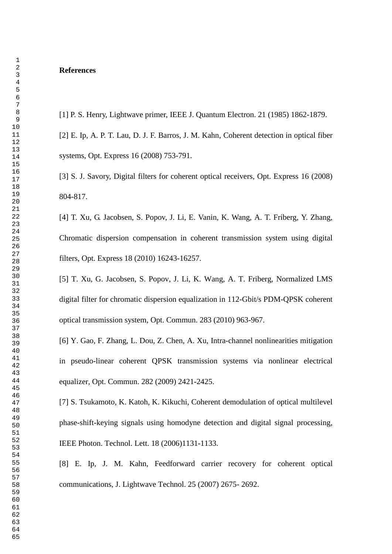#### 

## **References**

[1] P. S. Henry, Lightwave primer, IEEE J. Quantum Electron. 21 (1985) 1862-1879.

[2] E. Ip, A. P. T. Lau, D. J. F. Barros, J. M. Kahn, Coherent detection in optical fiber systems, Opt. Express 16 (2008) 753-791.

[3] S. J. Savory, Digital filters for coherent optical receivers, Opt. Express 16 (2008) 804-817.

[4] T. Xu, G. Jacobsen, S. Popov, J. Li, E. Vanin, K. Wang, A. T. Friberg, Y. Zhang, Chromatic dispersion compensation in coherent transmission system using digital filters, Opt. Express 18 (2010) 16243-16257.

[5] T. Xu, G. Jacobsen, S. Popov, J. Li, K. Wang, A. T. Friberg, Normalized LMS digital filter for chromatic dispersion equalization in 112-Gbit/s PDM-QPSK coherent optical transmission system, Opt. Commun. 283 (2010) 963-967.

[6] Y. Gao, F. Zhang, L. Dou, Z. Chen, A. Xu, Intra-channel nonlinearities mitigation in pseudo-linear coherent QPSK transmission systems via nonlinear electrical equalizer, Opt. Commun. 282 (2009) 2421-2425.

[7] S. Tsukamoto, K. Katoh, K. Kikuchi, Coherent demodulation of optical multilevel phase-shift-keying signals using homodyne detection and digital signal processing, IEEE Photon. Technol. Lett. 18 (2006)1131-1133.

[8] E. Ip, J. M. Kahn, Feedforward carrier recovery for coherent optical communications, J. Lightwave Technol. 25 (2007) 2675- 2692.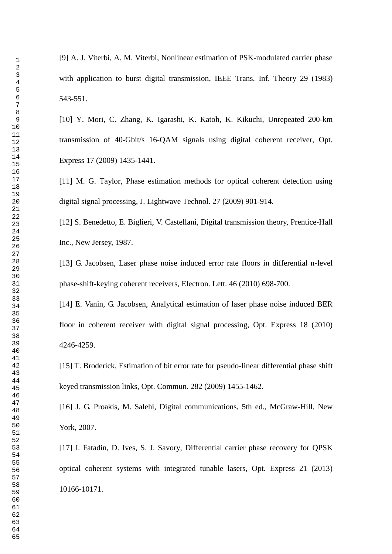with application to burst digital transmission, IEEE Trans. Inf. Theory 29 (1983) 543-551. [10] Y. Mori, C. Zhang, K. Igarashi, K. Katoh, K. Kikuchi, Unrepeated 200-km transmission of 40-Gbit/s 16-QAM signals using digital coherent receiver, Opt. Express 17 (2009) 1435-1441. [11] M. G. Taylor, Phase estimation methods for optical coherent detection using digital signal processing, J. Lightwave Technol. 27 (2009) 901-914. [12] S. Benedetto, E. Biglieri, V. Castellani, Digital transmission theory, Prentice-Hall Inc., New Jersey, 1987.

[13] G. Jacobsen, Laser phase noise induced error rate floors in differential n-level phase-shift-keying coherent receivers, Electron. Lett. 46 (2010) 698-700.

[9] A. J. Viterbi, A. M. Viterbi, Nonlinear estimation of PSK-modulated carrier phase

[14] E. Vanin, G. Jacobsen, Analytical estimation of laser phase noise induced BER floor in coherent receiver with digital signal processing, Opt. Express 18 (2010) 4246-4259.

[15] T. Broderick, Estimation of bit error rate for pseudo-linear differential phase shift keyed transmission links, Opt. Commun. 282 (2009) 1455-1462.

[16] J. G. Proakis, M. Salehi, Digital communications, 5th ed., McGraw-Hill, New York, 2007.

[17] I. Fatadin, D. Ives, S. J. Savory, Differential carrier phase recovery for QPSK optical coherent systems with integrated tunable lasers, Opt. Express 21 (2013) 10166-10171.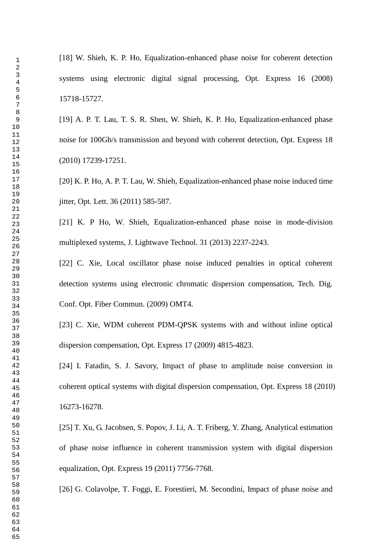[18] W. Shieh, K. P. Ho, Equalization-enhanced phase noise for coherent detection systems using electronic digital signal processing, Opt. Express 16 (2008) 15718-15727.

[19] A. P. T. Lau, T. S. R. Shen, W. Shieh, K. P. Ho, Equalization-enhanced phase noise for 100Gb/s transmission and beyond with coherent detection, Opt. Express 18 (2010) 17239-17251.

[20] K. P. Ho, A. P. T. Lau, W. Shieh, Equalization-enhanced phase noise induced time jitter, Opt. Lett. 36 (2011) 585-587.

[21] K. P Ho, W. Shieh, Equalization-enhanced phase noise in mode-division multiplexed systems, J. Lightwave Technol. 31 (2013) 2237-2243.

[22] C. Xie, Local oscillator phase noise induced penalties in optical coherent detection systems using electronic chromatic dispersion compensation, Tech. Dig. Conf. Opt. Fiber Commun. (2009) OMT4.

[23] C. Xie, WDM coherent PDM-QPSK systems with and without inline optical dispersion compensation, Opt. Express 17 (2009) 4815-4823.

[24] I. Fatadin, S. J. Savory, Impact of phase to amplitude noise conversion in coherent optical systems with digital dispersion compensation, Opt. Express 18 (2010) 16273-16278.

[25] T. Xu, G. Jacobsen, S. Popov, J. Li, A. T. Friberg, Y. Zhang, Analytical estimation of phase noise influence in coherent transmission system with digital dispersion equalization, Opt. Express 19 (2011) 7756-7768.

[26] G. Colavolpe, T. Foggi, E. Forestieri, M. Secondini, Impact of phase noise and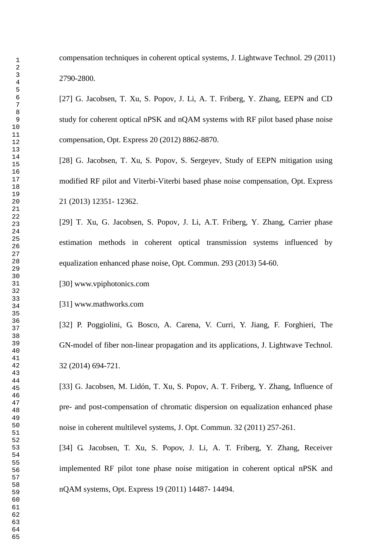compensation techniques in coherent optical systems, J. Lightwave Technol. 29 (2011) 2790-2800.

[27] G. Jacobsen, T. Xu, S. Popov, J. Li, A. T. Friberg, Y. Zhang, EEPN and CD study for coherent optical nPSK and nQAM systems with RF pilot based phase noise compensation, Opt. Express 20 (2012) 8862-8870.

[28] G. Jacobsen, T. Xu, S. Popov, S. Sergeyev, Study of EEPN mitigation using modified RF pilot and Viterbi-Viterbi based phase noise compensation, Opt. Express (2013) 12351- 12362.

[29] T. Xu, G. Jacobsen, S. Popov, J. Li, A.T. Friberg, Y. Zhang, Carrier phase estimation methods in coherent optical transmission systems influenced by equalization enhanced phase noise, Opt. Commun. 293 (2013) 54-60.

[30] www.vpiphotonics.com

[31] www.mathworks.com

[32] P. Poggiolini, G. Bosco, A. Carena, V. Curri, Y. Jiang, F. Forghieri, The GN-model of fiber non-linear propagation and its applications, J. Lightwave Technol. (2014) 694-721.

[33] G. Jacobsen, M. Lidón, T. Xu, S. Popov, A. T. Friberg, Y. Zhang, Influence of pre- and post-compensation of chromatic dispersion on equalization enhanced phase noise in coherent multilevel systems, J. Opt. Commun. 32 (2011) 257-261.

[34] G. Jacobsen, T. Xu, S. Popov, J. Li, A. T. Friberg, Y. Zhang, Receiver implemented RF pilot tone phase noise mitigation in coherent optical nPSK and nQAM systems, Opt. Express 19 (2011) 14487- 14494.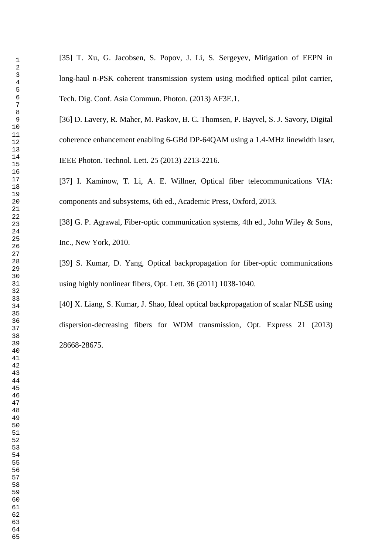[35] T. Xu, G. Jacobsen, S. Popov, J. Li, S. Sergeyev, Mitigation of EEPN in long-haul n-PSK coherent transmission system using modified optical pilot carrier, Tech. Dig. Conf. Asia Commun. Photon. (2013) AF3E.1.

[36] D. Lavery, R. Maher, M. Paskov, B. C. Thomsen, P. Bayvel, S. J. Savory, Digital coherence enhancement enabling 6-GBd DP-64QAM using a 1.4-MHz linewidth laser, IEEE Photon. Technol. Lett. 25 (2013) 2213-2216.

[37] I. Kaminow, T. Li, A. E. Willner, Optical fiber telecommunications VIA: components and subsystems, 6th ed., Academic Press, Oxford, 2013.

[38] G. P. Agrawal, Fiber-optic communication systems, 4th ed., John Wiley & Sons, Inc., New York, 2010.

[39] S. Kumar, D. Yang, Optical backpropagation for fiber-optic communications using highly nonlinear fibers, Opt. Lett. 36 (2011) 1038-1040.

[40] X. Liang, S. Kumar, J. Shao, Ideal optical backpropagation of scalar NLSE using dispersion-decreasing fibers for WDM transmission, Opt. Express 21 (2013) 28668-28675.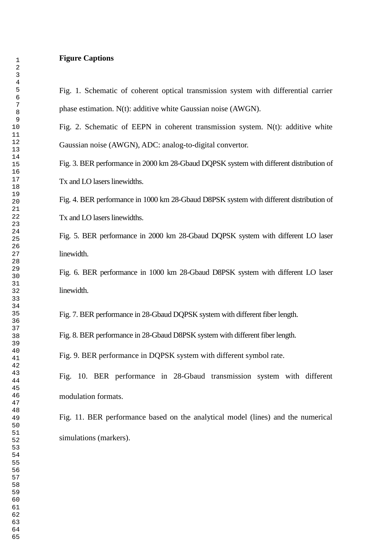#### **Figure Captions**

Fig. 1. Schematic of coherent optical transmission system with differential carrier phase estimation. N(t): additive white Gaussian noise (AWGN).

Fig. 2. Schematic of EEPN in coherent transmission system. N(t): additive white Gaussian noise (AWGN), ADC: analog-to-digital convertor.

Fig. 3. BER performance in 2000 km 28-Gbaud DQPSK system with different distribution of Tx and LO lasers linewidths.

Fig. 4. BER performance in 1000 km 28-Gbaud D8PSK system with different distribution of Tx and LO lasers linewidths.

Fig. 5. BER performance in 2000 km 28-Gbaud DQPSK system with different LO laser linewidth.

Fig. 6. BER performance in 1000 km 28-Gbaud D8PSK system with different LO laser linewidth.

Fig. 7. BER performance in 28-Gbaud DQPSK system with different fiber length.

Fig. 8. BER performance in 28-Gbaud D8PSK system with different fiber length.

Fig. 9. BER performance in DQPSK system with different symbol rate.

Fig. 10. BER performance in 28-Gbaud transmission system with different modulation formats.

Fig. 11. BER performance based on the analytical model (lines) and the numerical simulations (markers).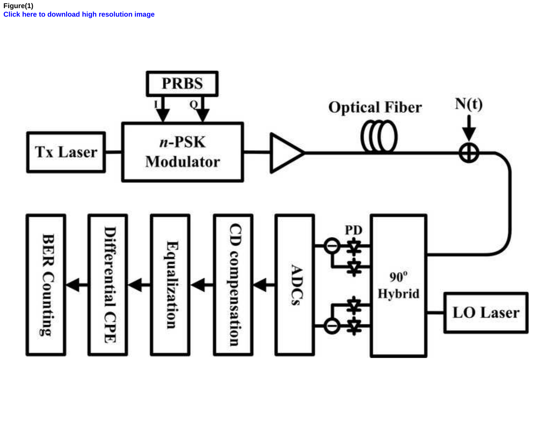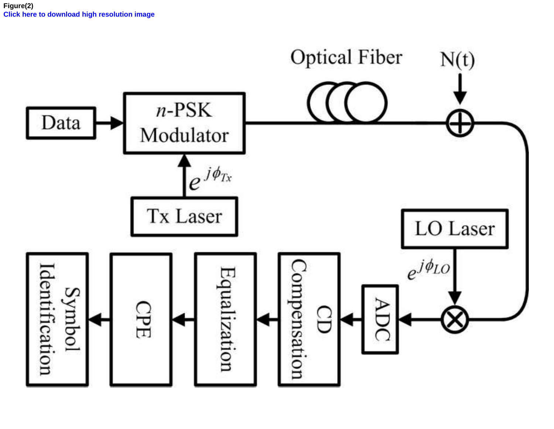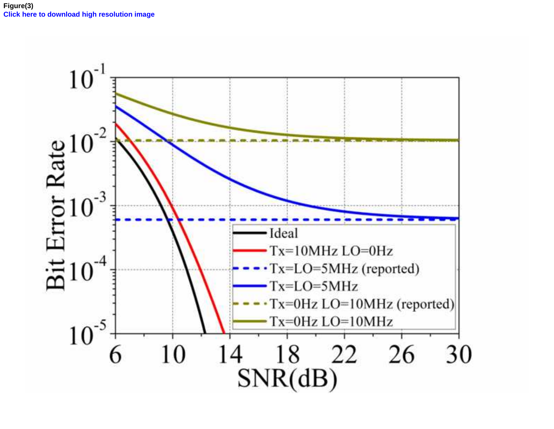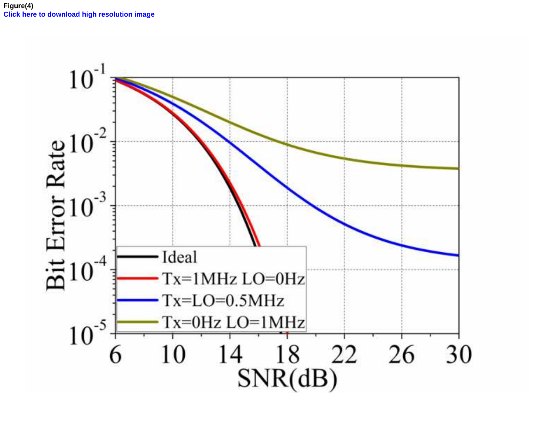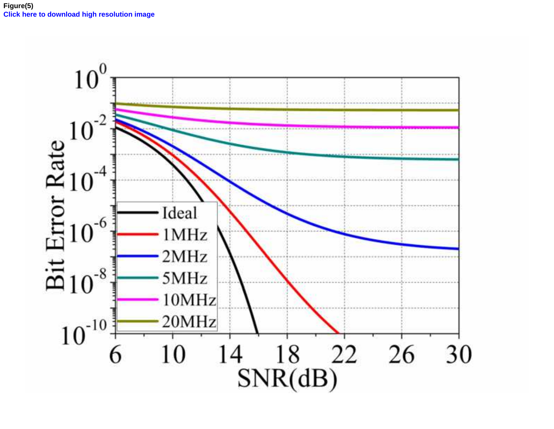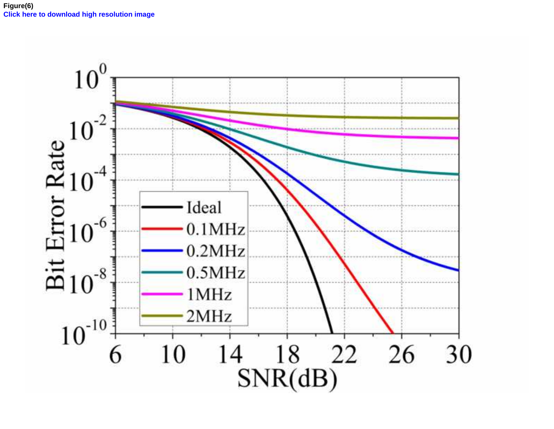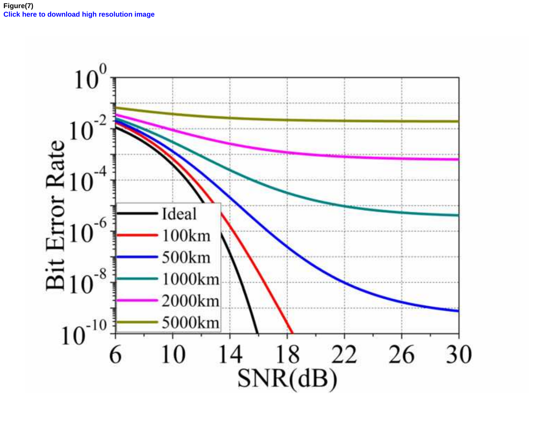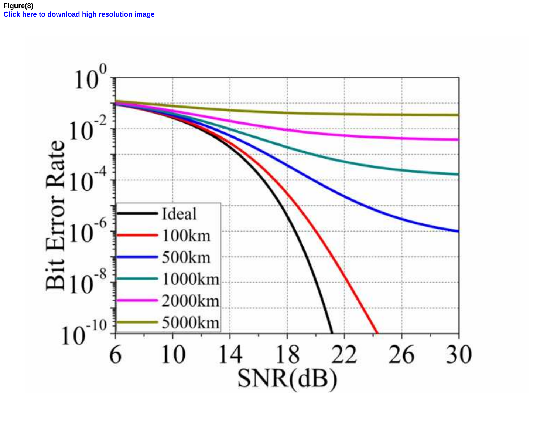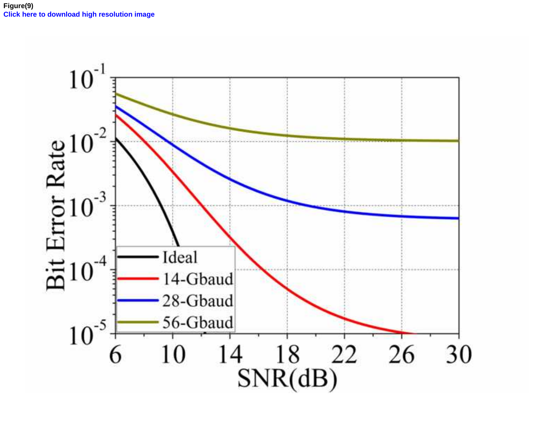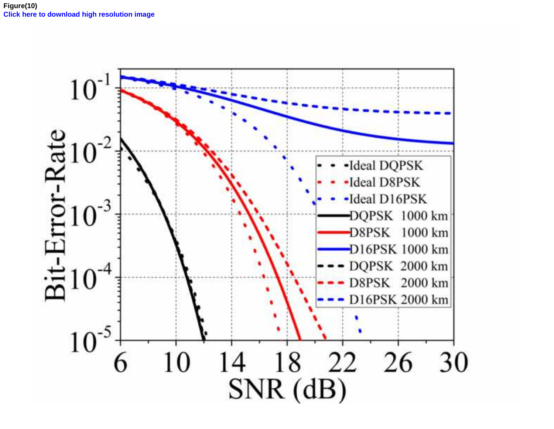